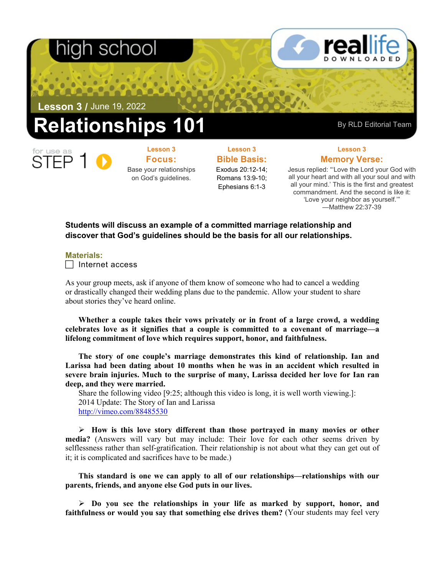# nigh school

**Lesson 3 /** June 19, 2022

## **elationships 101** By RLD Editorial Team

**Focus:**  Base your relationships on God's guidelines.

**Lesson 3**

**Lesson 3 Bible Basis:** Exodus 20:12-14; Romans 13:9-10;

Ephesians 6:1-3

### **Lesson 3 Memory Verse:**

Jesus replied: "'Love the Lord your God with all your heart and with all your soul and with all your mind.' This is the first and greatest commandment. And the second is like it: 'Love your neighbor as yourself.'" —Matthew 22:37-39

## **Students will discuss an example of a committed marriage relationship and discover that God's guidelines should be the basis for all our relationships.**

#### **Materials:**

 $\Box$  Internet access

As your group meets, ask if anyone of them know of someone who had to cancel a wedding or drastically changed their wedding plans due to the pandemic. Allow your student to share about stories they've heard online.

**Whether a couple takes their vows privately or in front of a large crowd, a wedding celebrates love as it signifies that a couple is committed to a covenant of marriage—a lifelong commitment of love which requires support, honor, and faithfulness.** 

**The story of one couple's marriage demonstrates this kind of relationship. Ian and Larissa had been dating about 10 months when he was in an accident which resulted in severe brain injuries. Much to the surprise of many, Larissa decided her love for Ian ran deep, and they were married.**

Share the following video [9:25; although this video is long, it is well worth viewing.]: 2014 Update: The Story of Ian and Larissa <http://vimeo.com/88485530>

 **How is this love story different than those portrayed in many movies or other media?** (Answers will vary but may include: Their love for each other seems driven by selflessness rather than self-gratification. Their relationship is not about what they can get out of it; it is complicated and sacrifices have to be made.)

**This standard is one we can apply to all of our relationships—relationships with our parents, friends, and anyone else God puts in our lives.** 

 **Do you see the relationships in your life as marked by support, honor, and faithfulness or would you say that something else drives them?** (Your students may feel very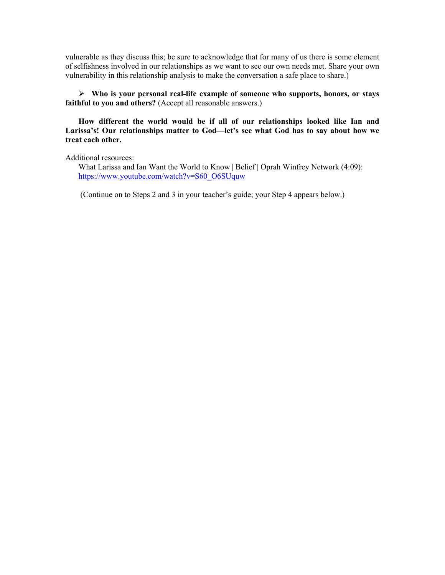vulnerable as they discuss this; be sure to acknowledge that for many of us there is some element of selfishness involved in our relationships as we want to see our own needs met. Share your own vulnerability in this relationship analysis to make the conversation a safe place to share.)

 **Who is your personal real-life example of someone who supports, honors, or stays faithful to you and others?** (Accept all reasonable answers.)

**How different the world would be if all of our relationships looked like Ian and Larissa's! Our relationships matter to God—let's see what God has to say about how we treat each other.** 

Additional resources:

What Larissa and Ian Want the World to Know | Belief | Oprah Winfrey Network (4:09): [https://www.youtube.com/watch?v=S60\\_O6SUquw](https://www.youtube.com/watch?v=S60_O6SUquw)

(Continue on to Steps 2 and 3 in your teacher's guide; your Step 4 appears below.)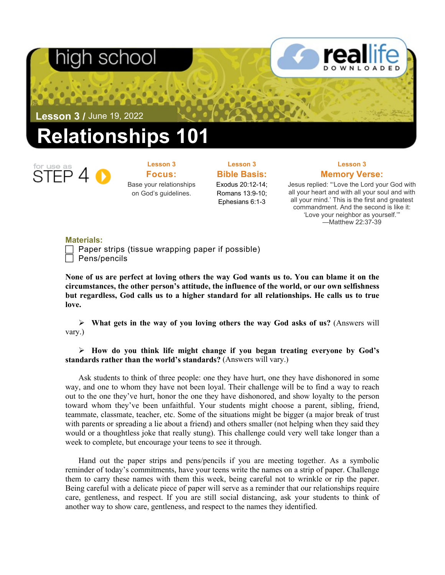# า school

**Lesson 3 /** June 19, 2022

# **Relationships 101**



**Lesson 3 Focus:**  Base your relationships on God's guidelines.

### **Lesson 3 Bible Basis:**

Exodus 20:12-14; Romans 13:9-10; Ephesians 6:1-3

### **Lesson 3 Memory Verse:**

Jesus replied: "'Love the Lord your God with all your heart and with all your soul and with all your mind.' This is the first and greatest commandment. And the second is like it: 'Love your neighbor as yourself.'" —Matthew 22:37-39

### **Materials:**

 Paper strips (tissue wrapping paper if possible) Pens/pencils

**None of us are perfect at loving others the way God wants us to. You can blame it on the circumstances, the other person's attitude, the influence of the world, or our own selfishness but regardless, God calls us to a higher standard for all relationships. He calls us to true love.**

 **What gets in the way of you loving others the way God asks of us?** (Answers will vary.)

 **How do you think life might change if you began treating everyone by God's standards rather than the world's standards?** (Answers will vary.)

Ask students to think of three people: one they have hurt, one they have dishonored in some way, and one to whom they have not been loyal. Their challenge will be to find a way to reach out to the one they've hurt, honor the one they have dishonored, and show loyalty to the person toward whom they've been unfaithful. Your students might choose a parent, sibling, friend, teammate, classmate, teacher, etc. Some of the situations might be bigger (a major break of trust with parents or spreading a lie about a friend) and others smaller (not helping when they said they would or a thoughtless joke that really stung). This challenge could very well take longer than a week to complete, but encourage your teens to see it through.

Hand out the paper strips and pens/pencils if you are meeting together. As a symbolic reminder of today's commitments, have your teens write the names on a strip of paper. Challenge them to carry these names with them this week, being careful not to wrinkle or rip the paper. Being careful with a delicate piece of paper will serve as a reminder that our relationships require care, gentleness, and respect. If you are still social distancing, ask your students to think of another way to show care, gentleness, and respect to the names they identified.